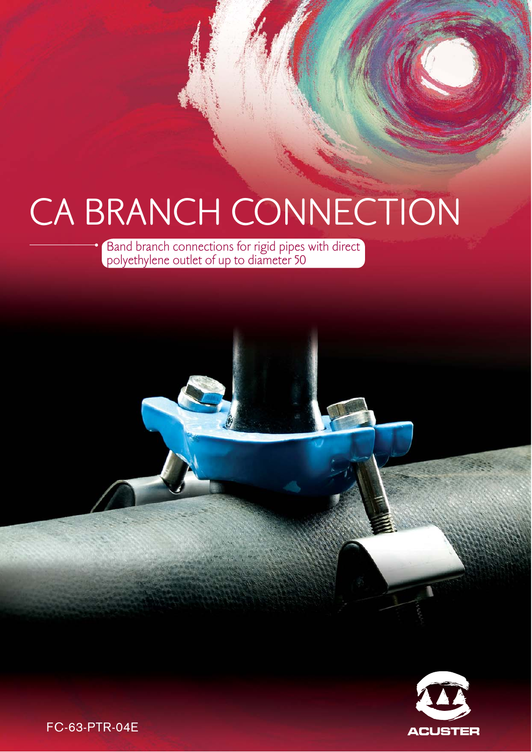# CA BRANCH CONNECTION

Band branch connections for rigid pipes with direct polyethylene outlet of up to diameter 50



FC-63-PTR-04E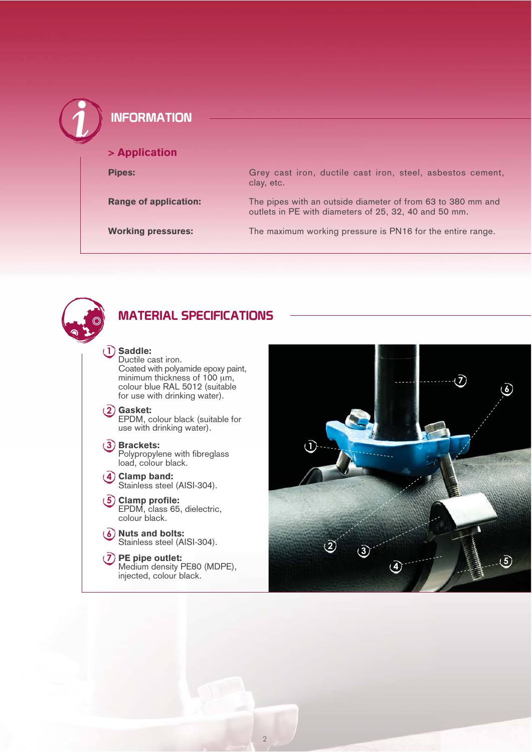| <b>INFORMATION</b>           |                                                                                                                      |
|------------------------------|----------------------------------------------------------------------------------------------------------------------|
| > Application                |                                                                                                                      |
| <b>Pipes:</b>                | Grey cast iron, ductile cast iron, steel, asbestos cement,<br>clay, etc.                                             |
| <b>Range of application:</b> | The pipes with an outside diameter of from 63 to 380 mm and<br>outlets in PE with diameters of 25, 32, 40 and 50 mm. |
| <b>Working pressures:</b>    | The maximum working pressure is PN16 for the entire range.                                                           |



### **MATERIAL SPECIFICATIONS**

#### **-** Saddle:

Ductile cast iron. Coated with polyamide epoxy paint, minimum thickness of 100 μm, colour blue RAL 5012 (suitable for use with drinking water).

Gasket:

EPDM, colour black (suitable for use with drinking water).

#### Brackets:

Polypropylene with fibreglass load, colour black.

- Clamp band: Stainless steel (AISI-304).
- Clamp profile: EPDM, class 65, dielectric, colour black.
- Nuts and bolts: Stainless steel (AISI-304).
- PE pipe outlet: Medium density PE80 (MDPE), injected, colour black.

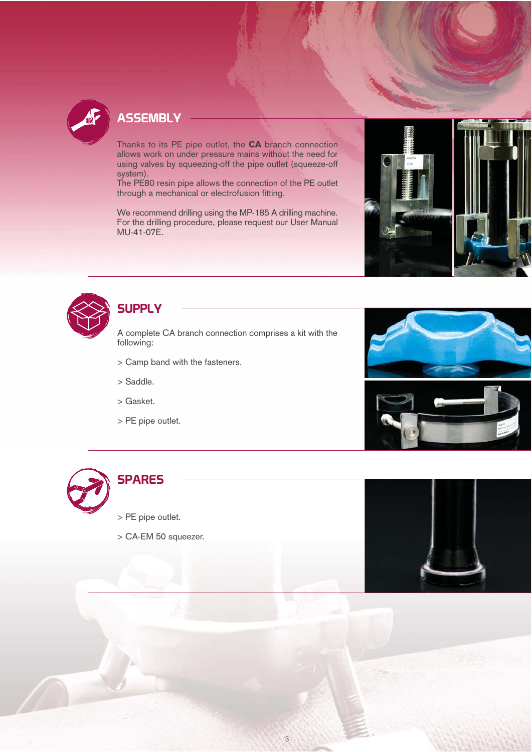

# **ASSEMBLY**

Thanks to its PE pipe outlet, the CA branch connection allows work on under pressure mains without the need for using valves by squeezing-off the pipe outlet (squeeze-off system).

The PE80 resin pipe allows the connection of the PE outlet through a mechanical or electrofusion fitting.

We recommend drilling using the MP-185 A drilling machine. For the drilling procedure, please request our User Manual MU-41-07E.



## **SUPPLY**

A complete CA branch connection comprises a kit with the following:

- > Camp band with the fasteners.
- > Saddle.
- > Gasket.
- > PE pipe outlet.





> PE pipe outlet.

> CA-EM 50 squeezer.